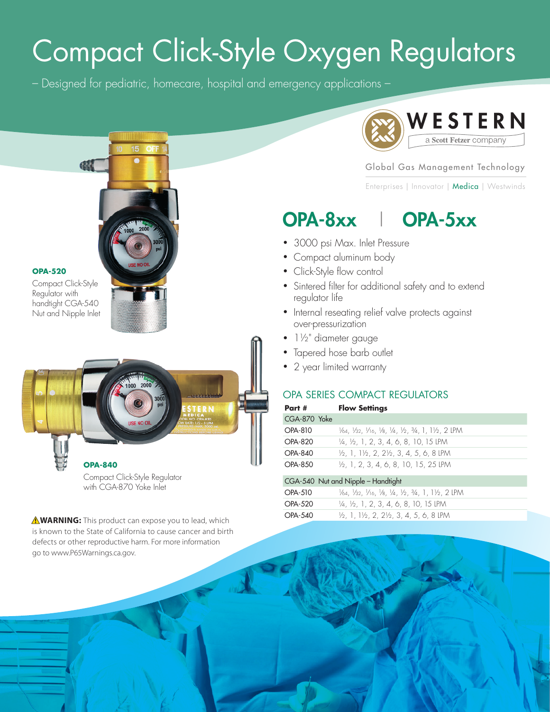# Compact Click-Style Oxygen Regulators

– Designed for pediatric, homecare, hospital and emergency applications –



#### Global Gas Management Technology

Enterprises | Innovator | Medica | Westwinds

### OPA-8xx I OPA-5xx

- 3000 psi Max. Inlet Pressure
- Compact aluminum body
- Click-Style flow control
- Sintered filter for additional safety and to extend regulator life
- Internal reseating relief valve protects against over-pressurization
- 1½" diameter gauge
- Tapered hose barb outlet
- 2 year limited warranty

#### OPA SERIES COMPACT REGULATORS

| Part #         | <b>Flow Settings</b>                                                        |
|----------------|-----------------------------------------------------------------------------|
| CGA-870 Yoke   |                                                                             |
| $OPA-810$      | V64, V32, V16, V8, V4, V2, 3/4, 1, 1V2, 2 LPM                               |
| <b>OPA-820</b> | $\frac{1}{4}$ , $\frac{1}{2}$ , 1, 2, 3, 4, 6, 8, 10, 15 LPM                |
| $OPA-840$      | $\frac{1}{2}$ , 1, 1 $\frac{1}{2}$ , 2, 2 $\frac{1}{2}$ , 3, 4, 5, 6, 8 LPM |
| OPA-850        | $\frac{1}{2}$ , 1, 2, 3, 4, 6, 8, 10, 15, 25 LPM                            |

|                | CGA-540 Nut and Nipple - Handtight                                          |
|----------------|-----------------------------------------------------------------------------|
| <b>OPA-510</b> | V64, V32, V16, V8, V4, V2, 3/4, 1, 1V2, 2 LPM                               |
| <b>OPA-520</b> | $\frac{1}{4}$ , $\frac{1}{2}$ , 1, 2, 3, 4, 6, 8, 10, 15 LPM                |
| <b>OPA-540</b> | $\frac{1}{2}$ , 1, 1 $\frac{1}{2}$ , 2, 2 $\frac{1}{2}$ , 3, 4, 5, 6, 8 LPM |



#### **OPA-520**

Compact Click-Style Regulator with handtight CGA-540 Nut and Nipple Inlet



Compact Click-Style Regulator with CGA-870 Yoke Inlet

A **WARNING:** This product can expose you to lead, which is known to the State of California to cause cancer and birth defects or other reproductive harm. For more information go to www.P65Warnings.ca.gov.